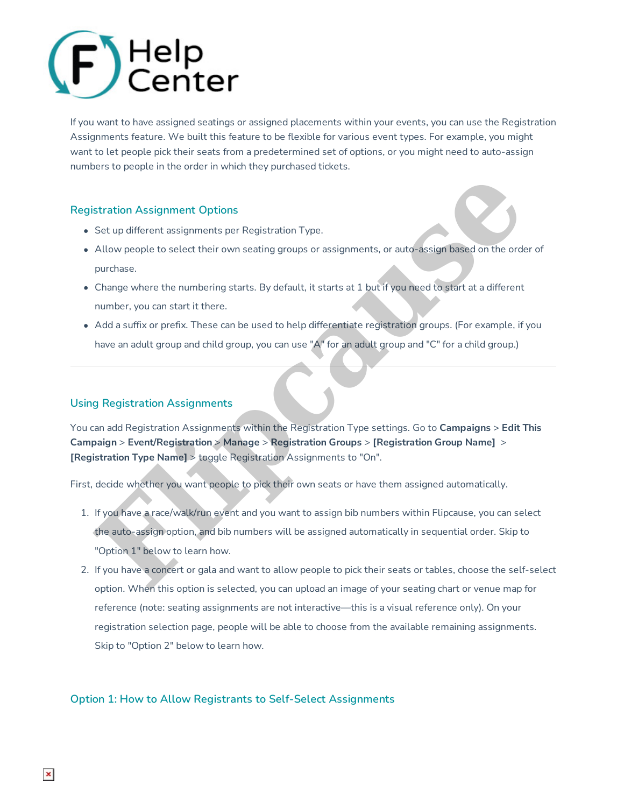# **Registration Assignment**  $\sim$  03/03/2022 11:58

If you want to have assigned seatings or assigned placements within your events, you can use the Registration Assignments feature. We built this feature to be flexible for various event types. For example, you might want to let people pick their seats from a predetermined set of options, or you might need to auto-assign numbers to people in the order in which they purchased tickets.

## **Registration Assignment Options**

- Set up different assignments per Registration Type.
- Allow people to select their own seating groups or assignments, or auto-assign based on the order of purchase.
- Change where the numbering starts. By default, it starts at 1 but if you need to start at a different number, you can start it there.
- Add a suffix or prefix. These can be used to help differentiate registration groups. (For example, if you have an adult group and child group, you can use "A" for an adult group and "C" for a child group.)

### **Using Registration Assignments**

You can add Registration Assignments within the Registration Type settings. Go to **Campaigns** > **Edit This Campaign** > **Event/Registration** > **Manage** > **Registration Groups** > **[Registration Group Name]** > **[Registration Type Name]** > toggle Registration Assignments to "On".

First, decide whether you want people to pick their own seats or have them assigned automatically.

- 1. If you have a race/walk/run event and you want to assign bib numbers within Flipcause, you can select the auto-assign option, and bib numbers will be assigned automatically in sequential order. Skip to "Option 1" below to learn how. stration Assignment Options<br>
Set up different assignments per Registration Type.<br>
Allow people to select their own seating groups or assignments, or auto-assign based on the orde<br>
purchase.<br>
Change where the numbering star
- 2. If you have a concert or gala and want to allow people to pick their seats or tables, choose the self-select option. When this option is selected, you can upload an image of your seating chart or venue map for reference (note: seating assignments are not interactive—this is a visual reference only). On your registration selection page, people will be able to choose from the available remaining assignments. Skip to "Option 2" below to learn how.

#### **Option 1: How to Allow Registrants to Self-Select Assignments**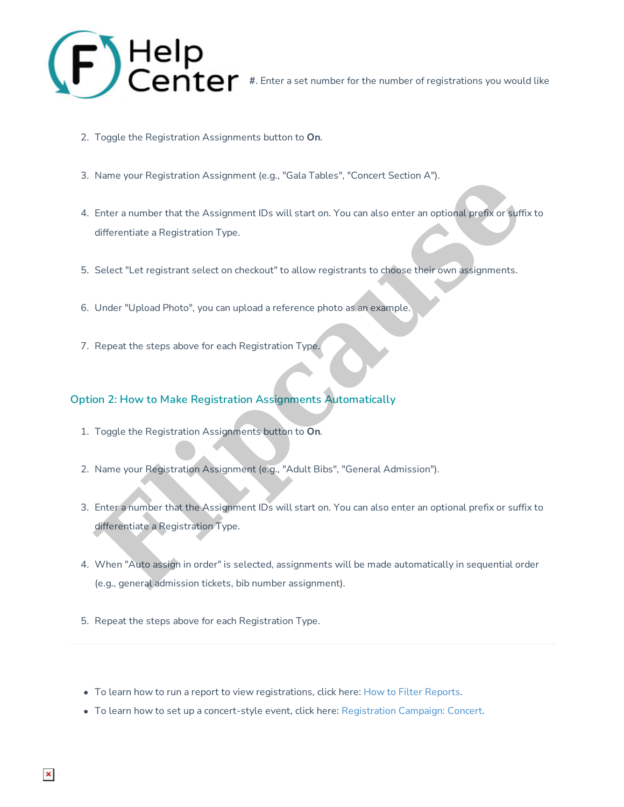

- 2. Toggle the Registration Assignments button to **On**.
- 3. Name your Registration Assignment (e.g., "Gala Tables", "Concert Section A").
- 4. Enter a number that the Assignment IDs will start on. You can also enter an optional prefix or suffix to differentiate a Registration Type.
- 5. Select "Let registrant select on checkout" to allow registrants to choose their own assignments.
- 6. Under "Upload Photo", you can upload a reference photo as an example.
- 7. Repeat the steps above for each Registration Type.

#### **Option 2: How to Make Registration Assignments Automatically**

- 1. Toggle the Registration Assignments button to **On**.
- 2. Name your Registration Assignment (e.g., "Adult Bibs", "General Admission").
- 3. Enter a number that the Assignment IDs will start on. You can also enter an optional prefix or suffix to differentiate a Registration Type. Name your Registration Assignment (e.g., "Gata I ables", "Concert Section A").<br>
Enter a number that the Assignment IDs will start on. You can also enter an optional profix or sufficient<br>
differentiate a Registration Type.<br>
- 4. When "Auto assign in order" is selected, assignments will be made automatically in sequential order (e.g., general admission tickets, bib number assignment).
- 5. Repeat the steps above for each Registration Type.
- $\bullet$  To learn how to run a report to view registrations, click here: How to Filter Reports.
- To learn how to set up a concert-style event, click here: Registration Campaign: Concert.